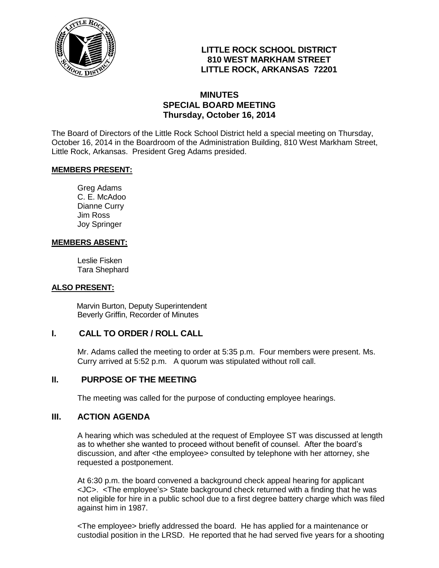

# **LITTLE ROCK SCHOOL DISTRICT 810 WEST MARKHAM STREET LITTLE ROCK, ARKANSAS 72201**

# **MINUTES SPECIAL BOARD MEETING Thursday, October 16, 2014**

The Board of Directors of the Little Rock School District held a special meeting on Thursday, October 16, 2014 in the Boardroom of the Administration Building, 810 West Markham Street, Little Rock, Arkansas. President Greg Adams presided.

#### **MEMBERS PRESENT:**

Greg Adams C. E. McAdoo Dianne Curry Jim Ross Joy Springer

#### **MEMBERS ABSENT:**

Leslie Fisken Tara Shephard

#### **ALSO PRESENT:**

 Marvin Burton, Deputy Superintendent Beverly Griffin, Recorder of Minutes

# **I. CALL TO ORDER / ROLL CALL**

Mr. Adams called the meeting to order at 5:35 p.m. Four members were present. Ms. Curry arrived at 5:52 p.m. A quorum was stipulated without roll call.

#### **II. PURPOSE OF THE MEETING**

The meeting was called for the purpose of conducting employee hearings.

#### **III. ACTION AGENDA**

A hearing which was scheduled at the request of Employee ST was discussed at length as to whether she wanted to proceed without benefit of counsel. After the board's discussion, and after <the employee> consulted by telephone with her attorney, she requested a postponement.

At 6:30 p.m. the board convened a background check appeal hearing for applicant <JC>. <The employee's> State background check returned with a finding that he was not eligible for hire in a public school due to a first degree battery charge which was filed against him in 1987.

<The employee> briefly addressed the board. He has applied for a maintenance or custodial position in the LRSD. He reported that he had served five years for a shooting